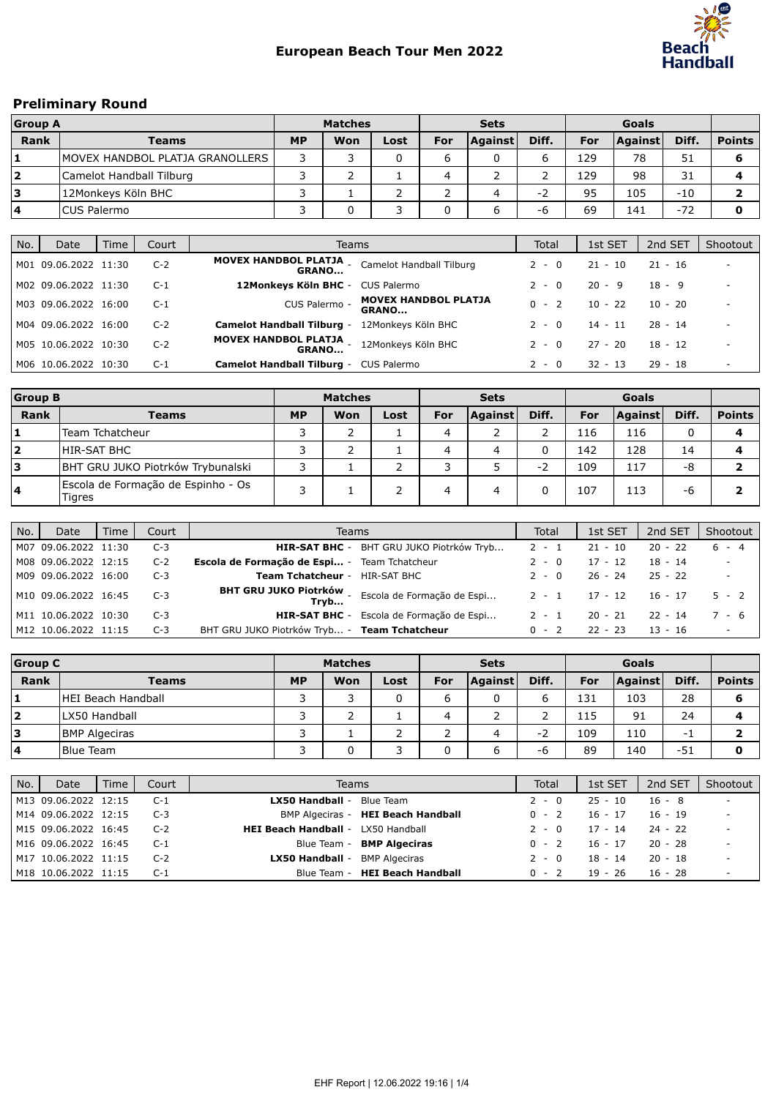

# Preliminary Round

| <b>Group A</b>          |                                  | <b>Matches</b> |     |      |     | <b>Sets</b> |       |     |                |       |               |
|-------------------------|----------------------------------|----------------|-----|------|-----|-------------|-------|-----|----------------|-------|---------------|
| Rank                    | <b>Teams</b>                     | <b>MP</b>      | Won | Lost | For | Against     | Diff. | For | <b>Against</b> | Diff. | <b>Points</b> |
|                         | IMOVEX HANDBOL PLATJA GRANOLLERS |                |     |      | ь   |             |       | 129 | 78             | 51    |               |
| $\overline{\mathbf{2}}$ | Camelot Handball Tilburg         |                |     |      |     |             |       | 129 | 98             | 31    |               |
| ۱3                      | 12Monkeys Köln BHC               |                |     |      |     |             | - 1   | 95  | 105            | $-10$ |               |
| 4                       | <b>ICUS Palermo</b>              |                |     |      |     |             | -r    | 69  | 141            | $-72$ |               |

| No. | Date                 | Time | Court | Teams                                                     |                                             | Total   | 1st SET   | 2nd SET   | Shootout |
|-----|----------------------|------|-------|-----------------------------------------------------------|---------------------------------------------|---------|-----------|-----------|----------|
|     | M01 09.06.2022 11:30 |      | $C-2$ | <b>MOVEX HANDBOL PLATJA</b><br><b>GRANO</b>               | Camelot Handball Tilburg                    | $2 - 0$ | $21 - 10$ | $21 - 16$ |          |
|     | M02 09.06.2022 11:30 |      | $C-1$ | 12Monkeys Köln BHC - CUS Palermo                          |                                             | 2 - 0   | 20 - 9    | $18 - 9$  |          |
|     | M03 09.06.2022 16:00 |      | $C-1$ | CUS Palermo -                                             | <b>MOVEX HANDBOL PLATJA</b><br><b>GRANO</b> | $0 - 2$ | $10 - 22$ | $10 - 20$ |          |
|     | M04 09.06.2022 16:00 |      | $C-2$ | <b>Camelot Handball Tilburg -</b>                         | 12Monkeys Köln BHC                          | $2 - 0$ | $14 - 11$ | $28 - 14$ |          |
|     | M05 10.06.2022 10:30 |      | $C-2$ | MOVEX HANDBOL PLATJA - 12Monkeys Köln BHC<br><b>GRANO</b> |                                             | $2 - 0$ | $27 - 20$ | $18 - 12$ |          |
|     | M06 10.06.2022 10:30 |      | $C-1$ | <b>Camelot Handball Tilburg - CUS Palermo</b>             |                                             | 2 - 0   | $32 - 13$ | $29 - 18$ |          |

| <b>Group B</b> |                                              | <b>Matches</b> |     |      |     | <b>Sets</b> |       |     |                |       |               |
|----------------|----------------------------------------------|----------------|-----|------|-----|-------------|-------|-----|----------------|-------|---------------|
| Rank           | <b>Teams</b>                                 | <b>MP</b>      | Won | Lost | For | Against     | Diff. | For | <b>Against</b> | Diff. | <b>Points</b> |
|                | Team Tchatcheur                              |                | ╮   |      | 4   |             |       | 116 | 116            | 0     |               |
| 2              | <b>HIR-SAT BHC</b>                           |                | ╮   |      | 4   | 4           |       | 142 | 128            | 14    |               |
| 3              | BHT GRU JUKO Piotrków Trybunalski            |                |     |      |     |             | $-2$  | 109 | 117            | -8    |               |
| 14             | Escola de Formação de Espinho - Os<br>Tigres | C              |     |      | 4   | 4           |       | 107 | 113            | -6    |               |

| No. | Date                 | Time | Court | Teams                                                      | Total   | 1st SET   | 2nd SET   | Shootout |
|-----|----------------------|------|-------|------------------------------------------------------------|---------|-----------|-----------|----------|
|     | M07 09.06.2022 11:30 |      | $C-3$ | <b>HIR-SAT BHC</b> - BHT GRU JUKO Piotrków Tryb            | $2 - 1$ | $21 - 10$ | $20 - 22$ | $6 - 4$  |
|     | M08 09.06.2022 12:15 |      | $C-2$ | Escola de Formação de Espi - Team Tchatcheur               | $2 - 0$ | $17 - 12$ | $18 - 14$ | $\sim$   |
|     | M09 09.06.2022 16:00 |      | $C-3$ | <b>Team Tchatcheur - HIR-SAT BHC</b>                       | $2 - 0$ | 26 - 24   | $25 - 22$ | $\sim$   |
|     | M10 09.06.2022 16:45 |      | $C-3$ | BHT GRU JUKO Piotrków - Escola de Formação de Espi<br>Tryb | $2 - 1$ | 17 - 12   | 16 - 17   | $5 - 2$  |
|     | M11 10.06.2022 10:30 |      | $C-3$ | HIR-SAT BHC - Escola de Formação de Espi                   | 2 - 1   | 20 - 21   | $22 - 14$ | 7 - 6    |
|     | M12 10.06.2022 11:15 |      | $C-3$ | BHT GRU JUKO Piotrków Tryb - Team Tchatcheur               | $0 - 2$ | $22 - 23$ | $13 - 16$ | $\sim$   |

| <b>Group C</b> |                      | <b>Matches</b> |     |      |     | <b>Sets</b> |       |     |                |       |               |
|----------------|----------------------|----------------|-----|------|-----|-------------|-------|-----|----------------|-------|---------------|
| Rank           | Teams                | <b>MP</b>      | Won | Lost | For | Against     | Diff. | For | <b>Against</b> | Diff. | <b>Points</b> |
| 1              | HEI Beach Handball   |                | っ   | 0    | ь   | 0           |       | 131 | 103            | 28    |               |
| 2              | LX50 Handball        |                |     |      | 4   | ∼           |       | 115 | 91             | 24    |               |
| Ι3             | <b>BMP Algeciras</b> |                |     |      |     | 4           | - 4   | 109 | 110            | - 1   |               |
| 4              | <b>Blue Team</b>     |                |     |      |     | ь           | -h    | 89  | 140            | $-51$ |               |

| No. | Date                 | Time | Court | Teams                                     | Total   | 1st SET   | 2nd SET   | Shootout                 |
|-----|----------------------|------|-------|-------------------------------------------|---------|-----------|-----------|--------------------------|
|     | M13 09.06.2022 12:15 |      | C-1   | Blue Team<br>LX50 Handball -              | $2 - 0$ | $25 - 10$ | $16 - 8$  |                          |
|     | M14 09.06.2022 12:15 |      | C-3   | BMP Algeciras - HEI Beach Handball        | $0 - 2$ | 16 - 17   | $16 - 19$ | $\overline{\phantom{a}}$ |
|     | M15 09.06.2022 16:45 |      | $C-2$ | <b>HEI Beach Handball - LX50 Handball</b> | 2 - 0   | $17 - 14$ | $24 - 22$ | $\overline{\phantom{a}}$ |
|     | M16 09.06.2022 16:45 |      | C-1   | Blue Team - BMP Algeciras                 | $0 - 2$ | $16 - 17$ | $20 - 28$ | $\overline{\phantom{a}}$ |
|     | M17 10.06.2022 11:15 |      | $C-2$ | <b>BMP Algeciras</b><br>LX50 Handball -   | $2 - 0$ | $18 - 14$ | $20 - 18$ |                          |
|     | M18 10.06.2022 11:15 |      | C-1   | Blue Team - HEI Beach Handball            | $0 - 2$ | 19 - 26   | $16 - 28$ |                          |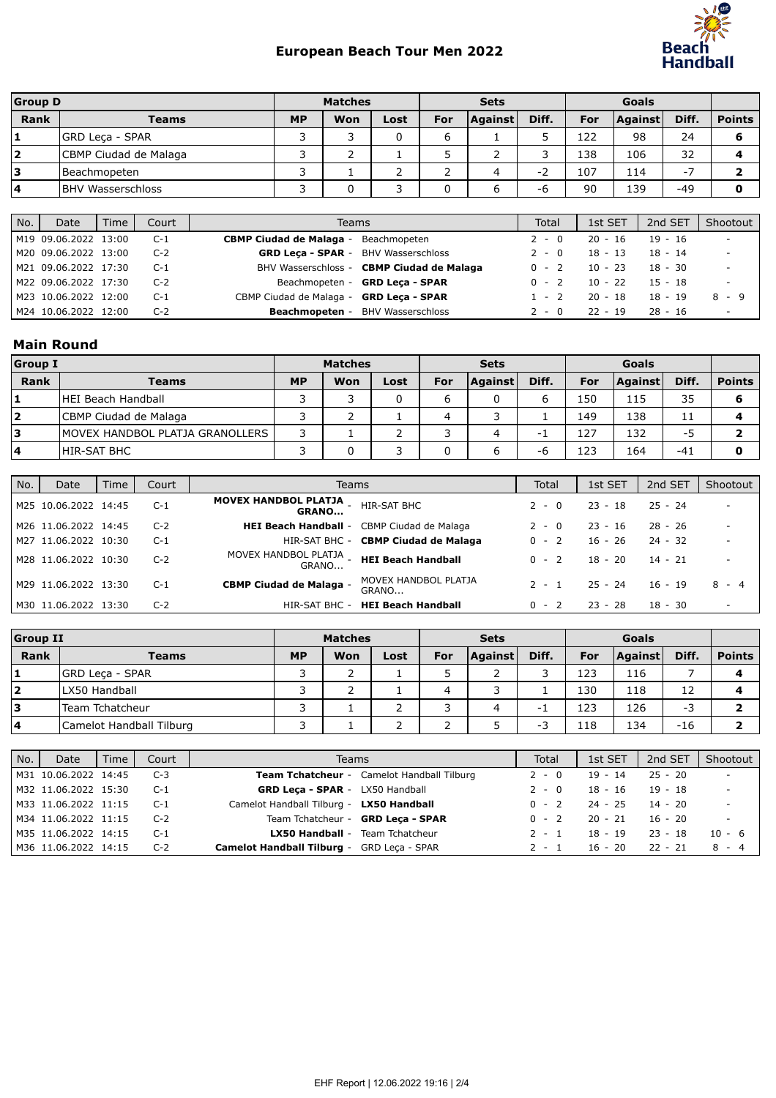

| <b>Group D</b> |                          |           | <b>Matches</b> |      |     | <b>Sets</b>    |       |     |         |       |               |
|----------------|--------------------------|-----------|----------------|------|-----|----------------|-------|-----|---------|-------|---------------|
| <b>Rank</b>    | Teams                    | <b>MP</b> | Won            | Lost | For | <b>Against</b> | Diff. | For | Against | Diff. | <b>Points</b> |
|                | <b>GRD Leca - SPAR</b>   |           |                | 0    | ь   |                |       | 122 | 98      | 24    | 6             |
| $\mathbf{2}$   | CBMP Ciudad de Malaga    |           |                |      |     | -              |       | 138 | 106     | 32    |               |
| з              | Beachmopeten             |           |                |      |     | 4              | -2    | 107 | 114     | Ξ.    |               |
| 4              | <b>BHV Wasserschloss</b> |           |                |      |     | ь              | -6    | 90  | 139     | $-49$ | O             |

| No. | Date                 | <b>Time</b> | Court |                                            | Teams                                     | Total   | 1st SET   | 2nd SET   | Shootout                 |
|-----|----------------------|-------------|-------|--------------------------------------------|-------------------------------------------|---------|-----------|-----------|--------------------------|
|     | M19 09.06.2022 13:00 |             | $C-1$ | <b>CBMP Ciudad de Malaga -</b>             | Beachmopeten                              | $2 - 0$ | $20 - 16$ | $19 - 16$ | $\overline{\phantom{a}}$ |
|     | M20 09.06.2022 13:00 |             | $C-2$ | <b>GRD Leca - SPAR - BHV Wasserschloss</b> |                                           | $2 - 0$ | $18 - 13$ | $18 - 14$ | $\overline{\phantom{a}}$ |
|     | M21 09.06.2022 17:30 |             | $C-1$ |                                            | BHV Wasserschloss - CBMP Ciudad de Malaga | $0 - 2$ | $10 - 23$ | $18 - 30$ | $\overline{\phantom{a}}$ |
|     | M22 09.06.2022 17:30 |             | $C-2$ |                                            | Beachmopeten - GRD Leca - SPAR            | $0 - 2$ | $10 - 22$ | $15 - 18$ |                          |
|     | M23 10.06.2022 12:00 |             | $C-1$ | CBMP Ciudad de Malaga - GRD Leca - SPAR    |                                           | $1 - 2$ | $20 - 18$ | $18 - 19$ | 8 - 9                    |
|     | M24 10.06.2022 12:00 |             | $C-2$ | Beachmopeten -                             | BHV Wasserschloss                         | $2 - 0$ | $22 - 19$ | $28 - 16$ | $\overline{\phantom{a}}$ |

## Main Round

| <b>Group I</b> |                                 | <b>Matches</b> |     |      |     | <b>Sets</b>    |       |     |         |       |               |
|----------------|---------------------------------|----------------|-----|------|-----|----------------|-------|-----|---------|-------|---------------|
| Rank           | <b>Teams</b>                    | <b>MP</b>      | Won | Lost | For | <b>Against</b> | Diff. | For | Against | Diff. | <b>Points</b> |
|                | HEI Beach Handball              |                |     |      | ь   |                |       | 150 | 115     | 35    |               |
|                | CBMP Ciudad de Malaga           |                |     |      | 4   |                |       | 149 | 138     | 11    |               |
| 13             | MOVEX HANDBOL PLATJA GRANOLLERS | ┑              |     |      | ∍   | 4              |       | 127 | 132     | -5    |               |
| 14             | <b>HIR-SAT BHC</b>              |                |     |      |     |                | -r    | 123 | 164     | $-41$ |               |

| No. | Date                 | Time | Court | Teams                                              |                                            | Total   | 1st SET   | 2nd SET   | Shootout                 |
|-----|----------------------|------|-------|----------------------------------------------------|--------------------------------------------|---------|-----------|-----------|--------------------------|
|     | M25 10.06.2022 14:45 |      | $C-1$ | MOVEX HANDBOL PLATJA - HIR-SAT BHC<br><b>GRANO</b> |                                            | $2 - 0$ | $23 - 18$ | $25 - 24$ | $\overline{\phantom{a}}$ |
|     | M26 11.06.2022 14:45 |      | $C-2$ |                                                    | HEI Beach Handball - CBMP Ciudad de Malaga | $2 - 0$ | $23 - 16$ | $28 - 26$ | $\overline{\phantom{a}}$ |
|     | M27 11.06.2022 10:30 |      | $C-1$ |                                                    | HIR-SAT BHC - CBMP Ciudad de Malaga        | $0 - 2$ | $16 - 26$ | $24 - 32$ | $\overline{\phantom{a}}$ |
|     | M28 11.06.2022 10:30 |      | $C-2$ | MOVEX HANDBOL PLATJA _ HEI Beach Handball<br>GRANO |                                            | $0 - 2$ | $18 - 20$ | $14 - 21$ | $\overline{\phantom{a}}$ |
|     | M29 11.06.2022 13:30 |      | $C-1$ | <b>CBMP Ciudad de Malaga -</b>                     | MOVEX HANDBOL PLATJA<br>GRANO              | $2 - 1$ | $25 - 24$ | $16 - 19$ | $8 - 4$                  |
|     | M30 11.06.2022 13:30 |      | $C-2$ | HIR-SAT BHC -                                      | <b>HEI Beach Handball</b>                  | $0 - 2$ | $23 - 28$ | $18 - 30$ | $\sim$                   |

| <b>Group II</b> |                          |           | <b>Matches</b> |      |     | <b>Sets</b>    |       |     |                |       |               |
|-----------------|--------------------------|-----------|----------------|------|-----|----------------|-------|-----|----------------|-------|---------------|
| Rank            | Teams                    | <b>MP</b> | Won            | Lost | For | <b>Against</b> | Diff. | For | <b>Against</b> | Diff. | <b>Points</b> |
|                 | <b>GRD Leca - SPAR</b>   |           |                |      |     |                |       | 123 | 116            |       |               |
| 2               | LX50 Handball            |           |                |      | 4   |                |       | 130 | 118            | 12    |               |
| Ι3              | Team Tchatcheur          |           |                |      |     | 4              |       | 123 | 126            | - 3   |               |
| 14              | Camelot Handball Tilburg |           |                |      |     |                | - 1   | 118 | 134            | $-16$ |               |

| No. | Date                 | Time | Court | <b>Teams</b>                               | Total   | 1st SET   | 2nd SET   | Shootout                 |
|-----|----------------------|------|-------|--------------------------------------------|---------|-----------|-----------|--------------------------|
|     | M31 10.06.2022 14:45 |      | $C-3$ | Team Tchatcheur - Camelot Handball Tilburg | $2 - 0$ | $19 - 14$ | $25 - 20$ |                          |
|     | M32 11.06.2022 15:30 |      | C-1   | <b>GRD Leca - SPAR - LX50 Handball</b>     | $2 - 0$ | $18 - 16$ | $19 - 18$ | $\overline{\phantom{a}}$ |
|     | M33 11.06.2022 11:15 |      | - C-1 | Camelot Handball Tilburg - LX50 Handball   | $0 - 2$ | 24 - 25   | $14 - 20$ | $\overline{\phantom{a}}$ |
|     | M34 11.06.2022 11:15 |      | $C-2$ | Team Tchatcheur - GRD Leca - SPAR          | $0 - 2$ | $20 - 21$ | $16 - 20$ | $\overline{\phantom{a}}$ |
|     | M35 11.06.2022 14:15 |      | C-1   | <b>LX50 Handball - Team Tchatcheur</b>     | $2 - 1$ | $18 - 19$ | $23 - 18$ | $10 - 6$                 |
|     | M36 11.06.2022 14:15 |      | $C-2$ | Camelot Handball Tilburg - GRD Leca - SPAR | 2 - 1   | $16 - 20$ | $22 - 21$ | 8 - 4                    |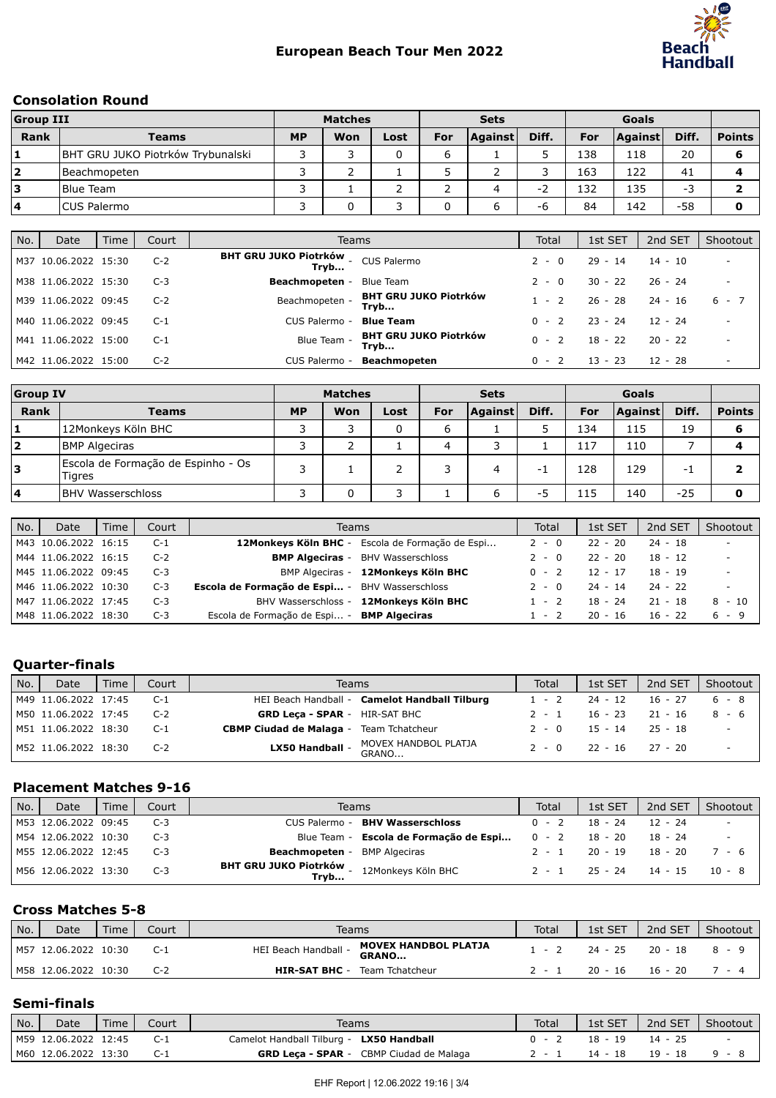

#### Consolation Round

| <b>Group III</b> |                                   | <b>Matches</b> |     |      |     | <b>Sets</b> |       |     |                |       |               |
|------------------|-----------------------------------|----------------|-----|------|-----|-------------|-------|-----|----------------|-------|---------------|
| Rank             | <b>Teams</b>                      | <b>MP</b>      | Won | Lost | For | Against     | Diff. | For | <b>Against</b> | Diff. | <b>Points</b> |
| '1               | BHT GRU JUKO Piotrków Trybunalski |                |     |      | ь   |             |       | 138 | 118            | 20    | 6             |
| 12               | l Beachmopeten                    |                |     |      |     |             |       | 163 | 122            | 41    |               |
| 13               | <b>Blue Team</b>                  |                |     |      | ∍   | 4           | ٠.    | 132 | 135            | - 3   |               |
| 14               | ICUS Palermo                      |                | ⌒   |      |     | ь           | -6    | 84  | 142            | -58   |               |

| No. | Date                 | Time | Court | Teams                                       |                                      | Total   | 1st SET   | 2nd SET   | Shootout                 |
|-----|----------------------|------|-------|---------------------------------------------|--------------------------------------|---------|-----------|-----------|--------------------------|
|     | M37 10.06.2022 15:30 |      | $C-2$ | BHT GRU JUKO Piotrków _ CUS Palermo<br>Tryb |                                      | $2 - 0$ | $29 - 14$ | $14 - 10$ | $\overline{\phantom{a}}$ |
|     | M38 11.06.2022 15:30 |      | $C-3$ | Beachmopeten -                              | <b>Blue Team</b>                     | $2 - 0$ | $30 - 22$ | $26 - 24$ | $\overline{\phantom{a}}$ |
|     | M39 11.06.2022 09:45 |      | $C-2$ | Beachmopeten -                              | <b>BHT GRU JUKO Piotrków</b><br>Trvb | $1 - 2$ | 26 - 28   | $24 - 16$ | $6 - 7$                  |
|     | M40 11.06.2022 09:45 |      | $C-1$ | CUS Palermo -                               | <b>Blue Team</b>                     | $0 - 2$ | $23 - 24$ | $12 - 24$ | $\overline{\phantom{a}}$ |
|     | M41 11.06.2022 15:00 |      | $C-1$ | Blue Team -                                 | <b>BHT GRU JUKO Piotrków</b><br>Tryb | $0 - 2$ | $18 - 22$ | $20 - 22$ | $\overline{\phantom{a}}$ |
|     | M42 11.06.2022 15:00 |      | $C-2$ | CUS Palermo -                               | Beachmopeten                         | $0 - 2$ | $13 - 23$ | 12 - 28   | $\overline{\phantom{a}}$ |

| <b>Group IV</b>         |                                                     | <b>Matches</b> |     |      |            | <b>Sets</b>    |       |     |                |       |               |
|-------------------------|-----------------------------------------------------|----------------|-----|------|------------|----------------|-------|-----|----------------|-------|---------------|
| Rank                    | <b>Teams</b>                                        | <b>MP</b>      | Won | Lost | <b>For</b> | <b>Against</b> | Diff. | For | <b>Against</b> | Diff. | <b>Points</b> |
|                         | 12Monkeys Köln BHC                                  |                | っ   |      | 6          |                |       | 134 | 115            | 19    |               |
| $\overline{\mathbf{2}}$ | <b>BMP Algeciras</b>                                |                |     |      | 4          | っ              |       | 117 | 110            |       |               |
| Ι3                      | Escola de Formação de Espinho - Os<br><b>Tigres</b> | っ              |     |      |            | 4              | $-1$  | 128 | 129            | - 1   |               |
| $\overline{4}$          | <b>BHV Wasserschloss</b>                            |                | 0   |      |            | ь              | -5    | 115 | 140            | $-25$ |               |

| No. | Date                 | Time | Court | Teams                                             |                                                 | Total   | 1st SET   | 2nd SET   | Shootout                 |
|-----|----------------------|------|-------|---------------------------------------------------|-------------------------------------------------|---------|-----------|-----------|--------------------------|
|     | M43 10.06.2022 16:15 |      | C-1   |                                                   | 12Monkeys Köln BHC - Escola de Formação de Espi | $2 - 0$ | $22 - 20$ | $24 - 18$ | $\overline{\phantom{a}}$ |
|     | M44 11.06.2022 16:15 |      | $C-2$ |                                                   | <b>BMP Algeciras</b> - BHV Wasserschloss        | $2 - 0$ | $22 - 20$ | 18 - 12   | $\overline{\phantom{a}}$ |
|     | M45 11.06.2022 09:45 |      | $C-3$ |                                                   | BMP Algeciras - 12Monkeys Köln BHC              | $0 - 2$ | $12 - 17$ | 18 - 19   | $\overline{\phantom{a}}$ |
|     | M46 11.06.2022 10:30 |      | $C-3$ | Escola de Formação de Espi - BHV Wasserschloss    |                                                 | $2 - 0$ | $24 - 14$ | $24 - 22$ | $\overline{\phantom{a}}$ |
|     | M47 11.06.2022 17:45 |      | $C-3$ |                                                   | BHV Wasserschloss - 12Monkeys Köln BHC          | $1 - 2$ | 18 - 24   | $21 - 18$ | $8 - 10$                 |
|     | M48 11.06.2022 18:30 |      | $C-3$ | Escola de Formação de Espi - <b>BMP Algeciras</b> |                                                 | $1 - 2$ | $20 - 16$ | $16 - 22$ | 6-9                      |

## Quarter-finals

| No. | Date                 | Time | Court | Teams                                            | Total | 1st SET                     | 2nd SET   | Shootout |
|-----|----------------------|------|-------|--------------------------------------------------|-------|-----------------------------|-----------|----------|
|     | M49 11.06.2022 17:45 |      | $C-1$ | HEI Beach Handball - Camelot Handball Tilburg    |       | $1 - 2$ 24 - 12             | $16 - 27$ | 6 - 8    |
|     | M50 11.06.2022 17:45 |      | $C-2$ | <b>GRD Leca - SPAR - HIR-SAT BHC</b>             | 2 - 1 | 16 - 23 - 21 - 16           |           | 8-6      |
|     | M51 11.06.2022 18:30 |      | $C-1$ | <b>CBMP Ciudad de Malaga - Team Tchatcheur</b>   |       | $2 - 0$ 15 - 14 25 - 18     |           |          |
|     | M52 11.06.2022 18:30 |      | $C-2$ | MOVEX HANDBOL PLATJA<br>LX50 Handball -<br>GRANO |       | $2 - 0$ $22 - 16$ $27 - 20$ |           |          |

#### Placement Matches 9-16

| No. | Date                 | Time | Court | Teams                                                                                 | <b>Total</b> | 1st SET                     | 2nd SET | Shootout |
|-----|----------------------|------|-------|---------------------------------------------------------------------------------------|--------------|-----------------------------|---------|----------|
|     | M53 12.06.2022 09:45 |      | $C-3$ | <b>BHV Wasserschloss</b><br>CUS Palermo -                                             | $0 - 2$      | $18 - 24$                   | 12 - 24 | $\sim$   |
|     | M54 12.06.2022 10:30 |      | $C-3$ | Blue Team - <b>Escola de Formação de Espi</b> 0 - 2 18 - 20                           |              |                             | 18 - 24 |          |
|     | M55 12.06.2022 12:45 |      | $C-3$ | <b>Beachmopeten</b> - BMP Algeciras                                                   |              | $2 - 1$ 20 - 19 18 - 20     |         | 7-6      |
|     | M56 12.06.2022 13:30 |      | $C-3$ | <b>BHT GRU JUKO Piotrków</b> - 12Monkeys Köln BHC<br><b>Tryb</b> - 12Monkeys Köln BHC |              | $2 - 1$ $25 - 24$ $14 - 15$ |         | $10 - 8$ |

## Cross Matches 5-8

| No. | <b>Date</b>          | Time | Court | Teams                                                        | Total   | 1st SET | 2nd SET   | Shootout |
|-----|----------------------|------|-------|--------------------------------------------------------------|---------|---------|-----------|----------|
|     | M57 12.06.2022 10:30 |      | $C-1$ | <b>MOVEX HANDBOL PLATJA</b><br>HEI Beach Handball -<br>GRANO | $1 - 2$ | 24 - 25 | 20 - 18   | 8-9      |
|     | M58 12.06.2022 10:30 |      | C-2   | <b>HIR-SAT BHC -</b><br>Team Tchatcheur                      |         | 20 - 16 | $16 - 20$ | $/ - 4$  |

#### Semi-finals

| No. | Date                 | Time | Court | Teams                                          | Total | 1st SET   | 2nd SET | Shootout |
|-----|----------------------|------|-------|------------------------------------------------|-------|-----------|---------|----------|
|     | M59 12.06.2022 12:45 |      |       | Camelot Handball Tilburg - LX50 Handball       |       | $18 - 19$ | 14 - 25 | $\sim$   |
|     | M60 12.06.2022 13:30 |      |       | <b>GRD Leca - SPAR</b> - CBMP Ciudad de Malaga |       | 14 - 18   | 19 - 18 | 9 - 8    |